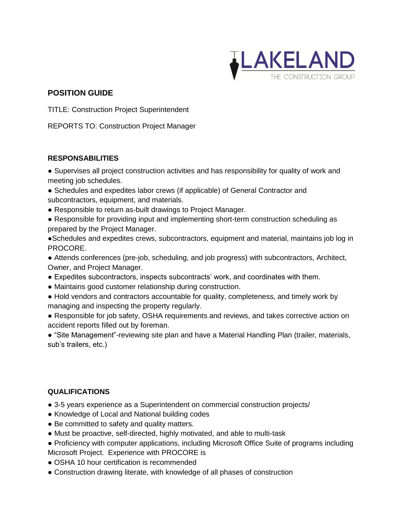

## **POSITION GUIDE**

TITLE: Construction Project Superintendent

REPORTS TO: Construction Project Manager

## **RESPONSABILITIES**

● Supervises all project construction activities and has responsibility for quality of work and meeting job schedules.

● Schedules and expedites labor crews (if applicable) of General Contractor and subcontractors, equipment, and materials.

- Responsible to return as-built drawings to Project Manager.
- Responsible for providing input and implementing short-term construction scheduling as prepared by the Project Manager.

●Schedules and expedites crews, subcontractors, equipment and material, maintains job log in PROCORE.

● Attends conferences (pre-job, scheduling, and job progress) with subcontractors, Architect, Owner, and Project Manager.

- Expedites subcontractors, inspects subcontracts' work, and coordinates with them.
- Maintains good customer relationship during construction.
- Hold vendors and contractors accountable for quality, completeness, and timely work by managing and inspecting the property regularly.

● Responsible for job safety, OSHA requirements and reviews, and takes corrective action on accident reports filled out by foreman.

● "Site Management"-reviewing site plan and have a Material Handling Plan (trailer, materials, sub's trailers, etc.)

## **QUALIFICATIONS**

- 3-5 years experience as a Superintendent on commercial construction projects/
- Knowledge of Local and National building codes
- Be committed to safety and quality matters.
- Must be proactive, self-directed, highly motivated, and able to multi-task
- Proficiency with computer applications, including Microsoft Office Suite of programs including Microsoft Project. Experience with PROCORE is
- OSHA 10 hour certification is recommended
- Construction drawing literate, with knowledge of all phases of construction